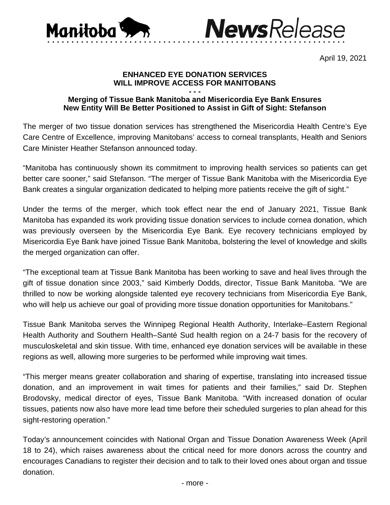



April 19, 2021

## **ENHANCED EYE DONATION SERVICES WILL IMPROVE ACCESS FOR MANITOBANS**

## **- - - Merging of Tissue Bank Manitoba and Misericordia Eye Bank Ensures New Entity Will Be Better Positioned to Assist in Gift of Sight: Stefanson**

The merger of two tissue donation services has strengthened the Misericordia Health Centre's Eye Care Centre of Excellence, improving Manitobans' access to corneal transplants, Health and Seniors Care Minister Heather Stefanson announced today.

"Manitoba has continuously shown its commitment to improving health services so patients can get better care sooner," said Stefanson. "The merger of Tissue Bank Manitoba with the Misericordia Eye Bank creates a singular organization dedicated to helping more patients receive the gift of sight."

Under the terms of the merger, which took effect near the end of January 2021, Tissue Bank Manitoba has expanded its work providing tissue donation services to include cornea donation, which was previously overseen by the Misericordia Eye Bank. Eye recovery technicians employed by Misericordia Eye Bank have joined Tissue Bank Manitoba, bolstering the level of knowledge and skills the merged organization can offer.

"The exceptional team at Tissue Bank Manitoba has been working to save and heal lives through the gift of tissue donation since 2003," said Kimberly Dodds, director, Tissue Bank Manitoba. "We are thrilled to now be working alongside talented eye recovery technicians from Misericordia Eye Bank, who will help us achieve our goal of providing more tissue donation opportunities for Manitobans."

Tissue Bank Manitoba serves the Winnipeg Regional Health Authority, Interlake–Eastern Regional Health Authority and Southern Health–Santé Sud health region on a 24-7 basis for the recovery of musculoskeletal and skin tissue. With time, enhanced eye donation services will be available in these regions as well, allowing more surgeries to be performed while improving wait times.

"This merger means greater collaboration and sharing of expertise, translating into increased tissue donation, and an improvement in wait times for patients and their families," said Dr. Stephen Brodovsky, medical director of eyes, Tissue Bank Manitoba. "With increased donation of ocular tissues, patients now also have more lead time before their scheduled surgeries to plan ahead for this sight-restoring operation."

Today's announcement coincides with National Organ and Tissue Donation Awareness Week (April 18 to 24), which raises awareness about the critical need for more donors across the country and encourages Canadians to register their decision and to talk to their loved ones about organ and tissue donation.